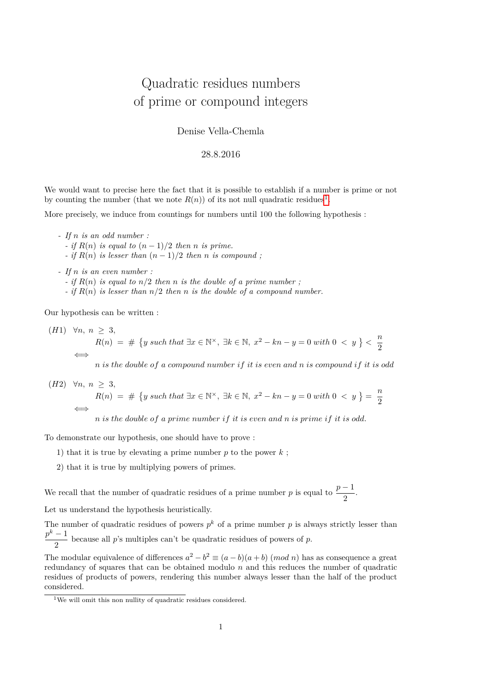## Quadratic residues numbers of prime or compound integers

Denise Vella-Chemla

## 28.8.2016

We would want to precise here the fact that it is possible to establish if a number is prime or not by counting the number (that we note  $R(n)$ ) of its not null quadratic residues<sup>[1](#page-0-0)</sup>.

More precisely, we induce from countings for numbers until 100 the following hypothesis :

- *- If n is an odd number : - if*  $R(n)$  *is equal to*  $(n-1)/2$  *then n is prime. - if*  $R(n)$  *is lesser than*  $(n-1)/2$  *then n is compound*;
- *- If n is an even number : - if*  $R(n)$  *is equal to*  $n/2$  *then n is the double of a prime number*; *- if R*(*n*) *is lesser than n/*2 *then n is the double of a compound number.*

Our hypothesis can be written :

 $(H1) \forall n, n > 3,$  $R(n) = # \{ y \text{ such that } \exists x \in \mathbb{N}^{\times}, \exists k \in \mathbb{N}, x^2 - kn - y = 0 \text{ with } 0 < y \} < \frac{n}{2}$ 2 ⇐⇒

*n is the double of a compound number if it is even and n is compound if it is odd*

(H2) 
$$
\forall n, n \geq 3
$$
,  
\n
$$
R(n) = # \{ y \text{ such that } \exists x \in \mathbb{N}^{\times}, \exists k \in \mathbb{N}, x^2 - kn - y = 0 \text{ with } 0 < y \} = \frac{n}{2}
$$
\n
$$
\iff
$$
\n
$$
n \text{ is the double of a prime number if it is even and n is prime if it is odd.}
$$

*n is the double of a prime number if it is even and n is prime if it is odd.*

To demonstrate our hypothesis, one should have to prove :

- 1) that it is true by elevating a prime number  $p$  to the power  $k$ ;
- 2) that it is true by multiplying powers of primes.

We recall that the number of quadratic residues of a prime number *p* is equal to  $\frac{p-1}{2}$ .

Let us understand the hypothesis heuristically.

The number of quadratic residues of powers  $p^k$  of a prime number p is always strictly lesser than  $p^k-1$  $\frac{1}{2}$  because all *p*'s multiples can't be quadratic residues of powers of *p*.

The modular equivalence of differences  $a^2 - b^2 \equiv (a - b)(a + b)$  (*mod n*) has as consequence a great redundancy of squares that can be obtained modulo *n* and this reduces the number of quadratic residues of products of powers, rendering this number always lesser than the half of the product considered.

<span id="page-0-0"></span><sup>1</sup>We will omit this non nullity of quadratic residues considered.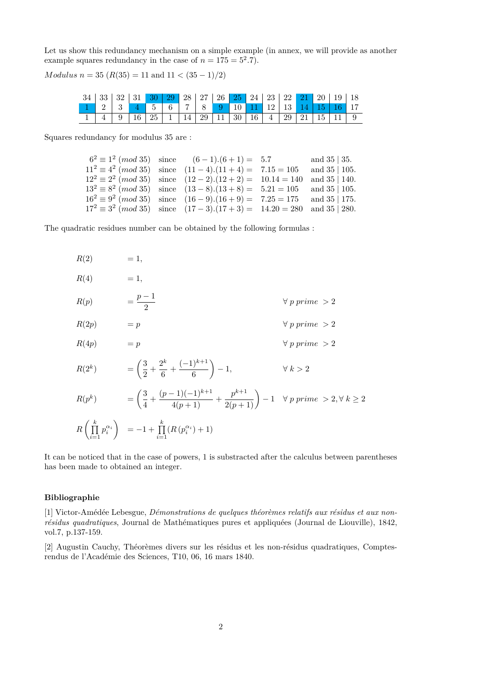Let us show this redundancy mechanism on a simple example (in annex, we will provide as another example squares redundancy in the case of  $n = 175 = 5^2.7$ .

*Modulus n* = 35 ( $R(35) = 11$  and  $11 < (35 - 1)/2$ )

|  |  | $34 \mid 33 \mid 32 \mid 31 \mid 30 \mid 29 \mid 28 \mid 27 \mid 26 \mid 25 \mid 24 \mid 23 \mid 22 \mid 21 \mid 20 \mid 19 \mid 18$ |  |  |  |  |  |  |
|--|--|--------------------------------------------------------------------------------------------------------------------------------------|--|--|--|--|--|--|
|  |  | $12 \mid 3 \mid 4 \mid 5 \mid 6 \mid 7 \mid 8 \mid 9 \mid 10 \mid 11 \mid 12 \mid 13 \mid 14 \mid 15 \mid 16 \mid 17$                |  |  |  |  |  |  |
|  |  | $4 \mid 9 \mid 16 \mid 25 \mid 1 \mid 14 \mid 29 \mid 11 \mid 30 \mid 16 \mid 4 \mid 29 \mid 21 \mid 15 \mid 11 \mid 9$              |  |  |  |  |  |  |

Squares redundancy for modulus 35 are :

|  | $6^2 \equiv 1^2 \pmod{35}$ since $(6-1)(6+1) = 5.7$                                          | and $35 \mid 35$ .  |
|--|----------------------------------------------------------------------------------------------|---------------------|
|  | $11^2 \equiv 4^2 \pmod{35}$ since $(11-4)(11+4) = 7.15 = 105$                                | and $35 \mid 105$ . |
|  | $12^2 \equiv 2^2 \pmod{35}$ since $(12-2) \cdot (12+2) = 10 \cdot 14 = 140$                  | and $35 \mid 140$ . |
|  | $13^2 \equiv 8^2 \pmod{35}$ since $(13-8)(13+8) = 5.21 = 105$ and $35 \mid 105$ .            |                     |
|  | $16^2 \equiv 9^2 \pmod{35}$ since $(16-9)(16+9) = 7.25 = 175$                                | and $35 \mid 175$ . |
|  | $17^2 \equiv 3^2 \pmod{35}$ since $(17-3) \cdot (17+3) = 14 \cdot 20 = 280$ and $35   280$ . |                     |

The quadratic residues number can be obtained by the following formulas :

 $R(2) = 1,$  $R(4) = 1,$ *R*(*p*) =  $\frac{p-1}{2}$ ∀ *p prime >* 2  $R(2p) = p \qquad \qquad \forall p \ prime > 2$  $R(4p) = p \qquad \qquad \forall p \ prime > 2$  $R(2^k)$  =  $\left(\frac{3}{2}\right)$  $\frac{3}{2} + \frac{2^k}{6}$  $\frac{2^k}{6} + \frac{(-1)^{k+1}}{6}$ 6  $\setminus$  $∀ k > 2$  $R(p^k)$  =  $\left(\frac{3}{4}\right)$  $\frac{3}{4} + \frac{(p-1)(-1)^{k+1}}{4(p+1)}$  $\frac{(p-1)(-1)^{k+1}}{4(p+1)} + \frac{p^{k+1}}{2(p+1)} - 1 \quad \forall p \ prime > 2, \forall k \geq 2$  $R\left(\prod_{i=1}^k\right)$ *i*=1  $p_i^{\alpha_i}$  $= -1 + \prod^k$ *i*=1  $(R(p_i^{\alpha_i})+1)$ 

It can be noticed that in the case of powers, 1 is substracted after the calculus between parentheses has been made to obtained an integer.

## **Bibliographie**

[1] Victor-Amédée Lebesgue, *Démonstrations de quelques théorèmes relatifs aux résidus et aux nonrésidus quadratiques*, Journal de Mathématiques pures et appliquées (Journal de Liouville), 1842, vol.7, p.137-159.

[2] Augustin Cauchy, Théorèmes divers sur les résidus et les non-résidus quadratiques, Comptesrendus de l'Académie des Sciences, T10, 06, 16 mars 1840.